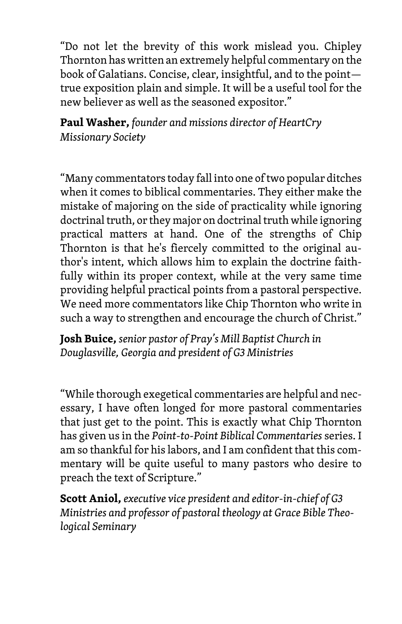"Do not let the brevity of this work mislead you. Chipley Thornton has written an extremely helpful commentary on the book of Galatians. Concise, clear, insightful, and to the point true exposition plain and simple. It will be a useful tool for the new believer as well as the seasoned expositor."

**Paul Washer,** *founder and missions director of HeartCry Missionary Society*

"Many commentators today fall into one of two popular ditches when it comes to biblical commentaries. They either make the mistake of majoring on the side of practicality while ignoring doctrinal truth, or they major on doctrinal truth while ignoring practical matters at hand. One of the strengths of Chip Thornton is that he's fiercely committed to the original author's intent, which allows him to explain the doctrine faithfully within its proper context, while at the very same time providing helpful practical points from a pastoral perspective. We need more commentators like Chip Thornton who write in such a way to strengthen and encourage the church of Christ."

**Josh Buice,** *senior pastor of Pray's Mill Baptist Church in Douglasville, Georgia and president of G3 Ministries*

"While thorough exegetical commentaries are helpful and necessary, I have often longed for more pastoral commentaries that just get to the point. This is exactly what Chip Thornton has given us in the *Point-to-Point Biblical Commentaries* series. I am so thankful for his labors, and I am confident that this commentary will be quite useful to many pastors who desire to preach the text of Scripture."

**Scott Aniol,** *executive vice president and editor-in-chief of G3 Ministries and professor of pastoral theology at Grace Bible Theological Seminary*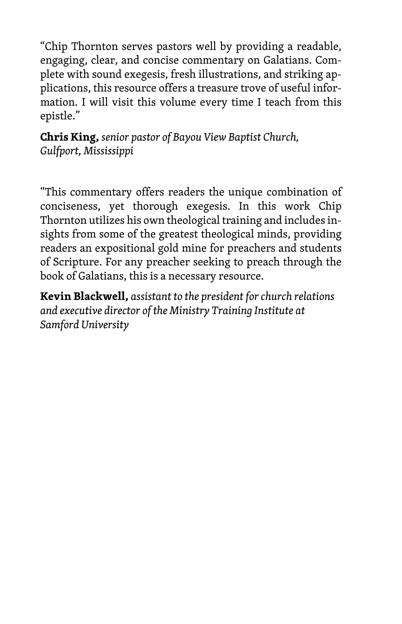"Chip Thornton serves pastors well by providing a readable, engaging, clear, and concise commentary on Galatians. Complete with sound exegesis, fresh illustrations, and striking applications, this resource offers a treasure trove of useful information. I will visit this volume every time I teach from this epistle."

**Chris King,** *senior pastor of Bayou View Baptist Church, Gulfport, Mississippi*

"This commentary offers readers the unique combination of conciseness, yet thorough exegesis. In this work Chip Thornton utilizes his own theological training and includes insights from some of the greatest theological minds, providing readers an expositional gold mine for preachers and students of Scripture. For any preacher seeking to preach through the book of Galatians, this is a necessary resource.

**Kevin Blackwell,** *assistant to the president for church relations and executive director of the Ministry Training Institute at Samford University*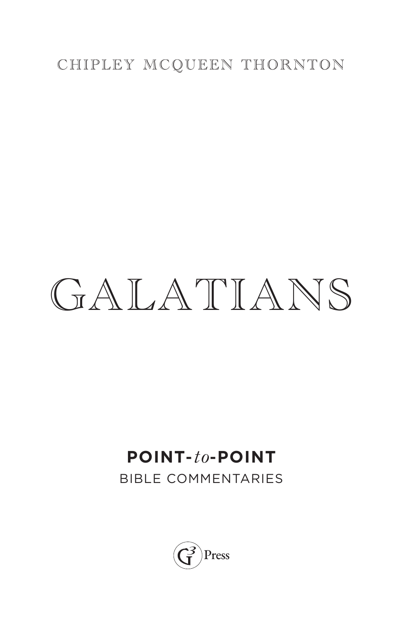#### CHIPLEY MCQUEEN THORNTON

# GALATIANS

## **POINT-***to***-POINT**

BIBLE COMMENTARIES

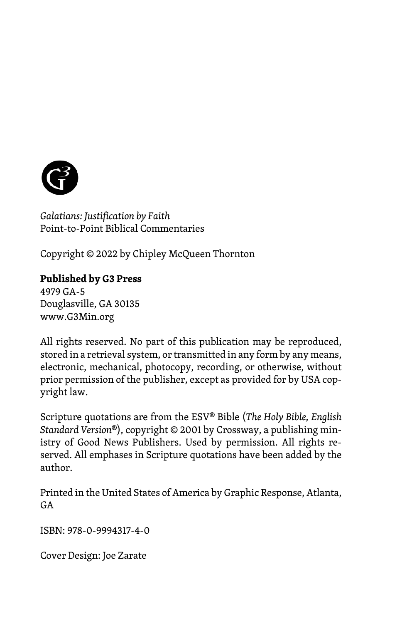

*Galatians: Justification by Faith* Point-to-Point Biblical Commentaries

Copyright © 2022 by Chipley McQueen Thornton

#### **Published by G3 Press**

4979 GA-5 Douglasville, GA 30135 www.G3Min.org

All rights reserved. No part of this publication may be reproduced, stored in a retrieval system, or transmitted in any form by any means, electronic, mechanical, photocopy, recording, or otherwise, without prior permission of the publisher, except as provided for by USA copyright law.

Scripture quotations are from the ESV® Bible (*The Holy Bible, English Standard Version*®), copyright © 2001 by Crossway, a publishing ministry of Good News Publishers. Used by permission. All rights reserved. All emphases in Scripture quotations have been added by the author.

Printed in the United States of America by Graphic Response, Atlanta,  $G$ A

ISBN: 978-0-9994317-4-0

Cover Design: Joe Zarate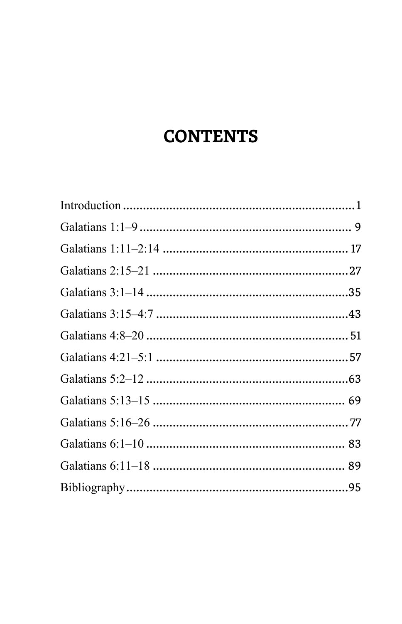## **CONTENTS**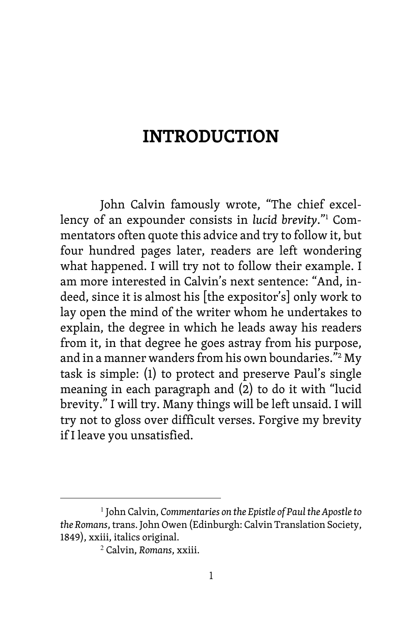### **INTRODUCTION**

John Calvin famously wrote, "The chief excellency of an expounder consists in *lucid brevity*."1 Commentators often quote this advice and try to follow it, but four hundred pages later, readers are left wondering what happened. I will try not to follow their example. I am more interested in Calvin's next sentence: "And, indeed, since it is almost his [the expositor's] only work to lay open the mind of the writer whom he undertakes to explain, the degree in which he leads away his readers from it, in that degree he goes astray from his purpose, and in a manner wanders from his own boundaries."2 My task is simple: (1) to protect and preserve Paul's single meaning in each paragraph and (2) to do it with "lucid brevity." I will try. Many things will be left unsaid. I will try not to gloss over difficult verses. Forgive my brevity if I leave you unsatisfied.

<sup>1</sup> John Calvin, *Commentaries on the Epistle of Paul the Apostle to the Romans*, trans. John Owen (Edinburgh: Calvin Translation Society, 1849), xxiii, italics original.

<sup>2</sup> Calvin, *Romans*, xxiii.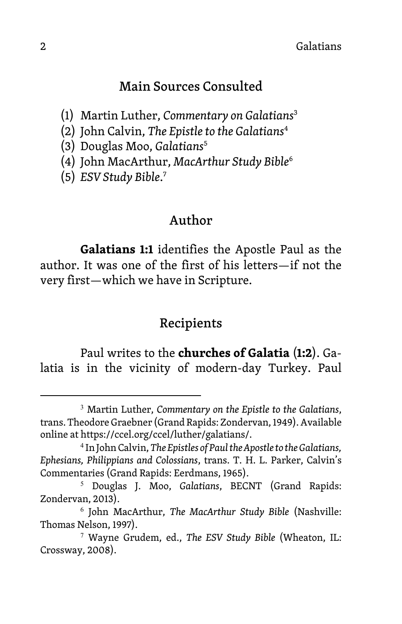#### Main Sources Consulted

- (1) Martin Luther, *Commentary on Galatians*<sup>3</sup>
- (2) John Calvin, *The Epistle to the Galatians*<sup>4</sup>
- (3) Douglas Moo, *Galatians*<sup>5</sup>
- (4) John MacArthur, *MacArthur Study Bible*<sup>6</sup>
- (5) *ESV Study Bible*. 7

#### Author

**Galatians 1:1** identifies the Apostle Paul as the author. It was one of the first of his letters—if not the very first—which we have in Scripture.

#### Recipients

Paul writes to the **churches of Galatia** (**1:2**). Galatia is in the vicinity of modern-day Turkey. Paul

<sup>3</sup> Martin Luther, *Commentary on the Epistle to the Galatians*, trans. Theodore Graebner (Grand Rapids: Zondervan, 1949). Available online at https://ccel.org/ccel/luther/galatians/.

<sup>4</sup> In John Calvin, *The Epistles of Paul the Apostle to the Galatians, Ephesians, Philippians and Colossians*, trans. T. H. L. Parker, Calvin's Commentaries (Grand Rapids: Eerdmans, 1965).

<sup>5</sup> Douglas J. Moo, *Galatians*, BECNT (Grand Rapids: Zondervan, 2013).

<sup>6</sup> John MacArthur, *The MacArthur Study Bible* (Nashville: Thomas Nelson, 1997).

<sup>7</sup> Wayne Grudem, ed., *The ESV Study Bible* (Wheaton, IL: Crossway, 2008).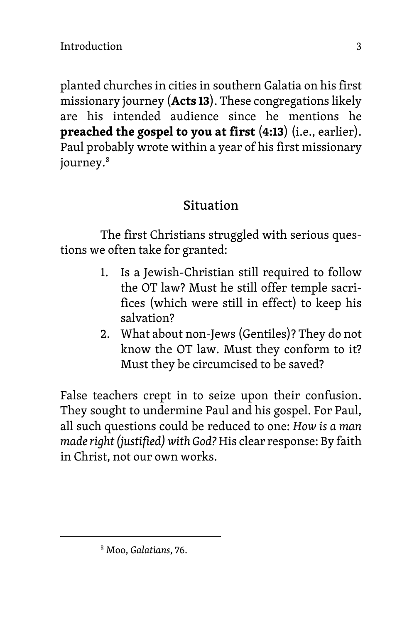planted churches in cities in southern Galatia on his first missionary journey (**Acts 13**). These congregations likely are his intended audience since he mentions he **preached the gospel to you at first** (**4:13**) (i.e., earlier). Paul probably wrote within a year of his first missionary journey.<sup>8</sup>

#### Situation

The first Christians struggled with serious questions we often take for granted:

- 1. Is a Jewish-Christian still required to follow the OT law? Must he still offer temple sacrifices (which were still in effect) to keep his salvation?
- 2. What about non-Jews (Gentiles)? They do not know the OT law. Must they conform to it? Must they be circumcised to be saved?

False teachers crept in to seize upon their confusion. They sought to undermine Paul and his gospel. For Paul, all such questions could be reduced to one: *How is a man made right (justified) with God?* His clear response: By faith in Christ, not our own works.

<sup>8</sup> Moo, *Galatians*, 76.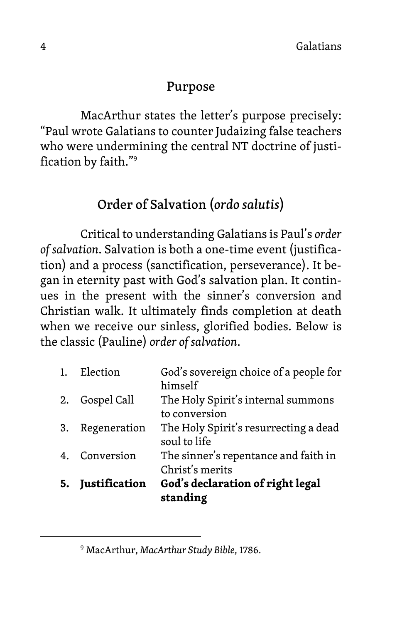#### Purpose

MacArthur states the letter's purpose precisely: "Paul wrote Galatians to counter Judaizing false teachers who were undermining the central NT doctrine of justification by faith."9

#### Order of Salvation (*ordo salutis*)

Critical to understanding Galatians is Paul's *order of salvation*. Salvation is both a one-time event (justification) and a process (sanctification, perseverance). It began in eternity past with God's salvation plan. It continues in the present with the sinner's conversion and Christian walk. It ultimately finds completion at death when we receive our sinless, glorified bodies. Below is the classic (Pauline) *order of salvation*.

| soul to life<br>The sinner's repentance and faith in                                                    |
|---------------------------------------------------------------------------------------------------------|
| Christ's merits                                                                                         |
| himself<br>The Holy Spirit's internal summons<br>to conversion<br>The Holy Spirit's resurrecting a dead |

<sup>9</sup> MacArthur, *MacArthur Study Bible*, 1786.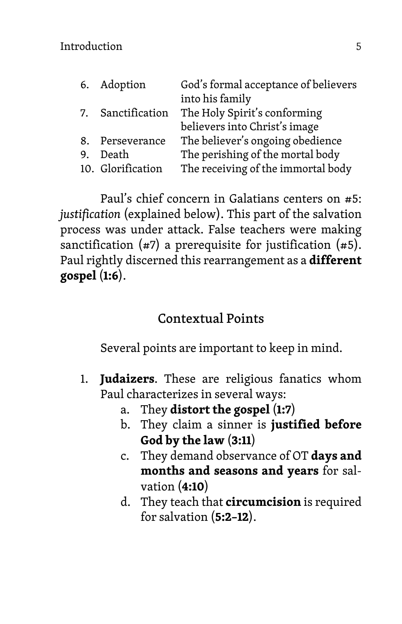|    | 6. Adoption       | God's formal acceptance of believers |
|----|-------------------|--------------------------------------|
|    |                   | into his family                      |
| 7. | Sanctification    | The Holy Spirit's conforming         |
|    |                   | believers into Christ's image        |
|    | 8. Perseverance   | The believer's ongoing obedience     |
| 9. | Death             | The perishing of the mortal body     |
|    | 10. Glorification | The receiving of the immortal body   |

Paul's chief concern in Galatians centers on #5: *justification* (explained below). This part of the salvation process was under attack. False teachers were making sanctification  $(47)$  a prerequisite for justification  $(45)$ . Paul rightly discerned this rearrangement as a **different gospel** (**1:6**).

#### Contextual Points

Several points are important to keep in mind.

- 1. **Judaizers**. These are religious fanatics whom Paul characterizes in several ways:
	- a. They **distort the gospel** (**1:7**)
	- b. They claim a sinner is **justified before God by the law** (**3:11**)
	- c. They demand observance of OT **days and months and seasons and years** for salvation (**4:10**)
	- d. They teach that **circumcision** is required for salvation (**5:2–12**).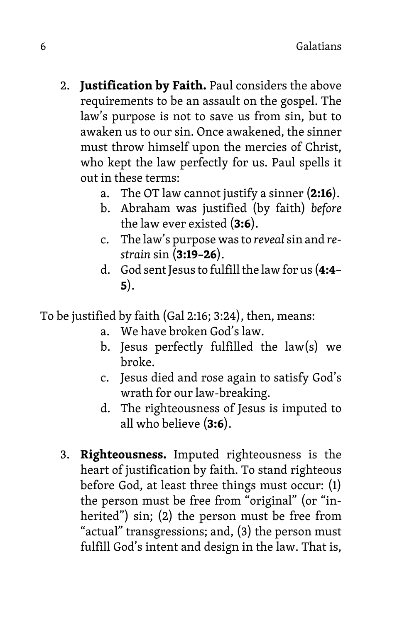- 2. **Justification by Faith.** Paul considers the above requirements to be an assault on the gospel. The law's purpose is not to save us from sin, but to awaken us to our sin. Once awakened, the sinner must throw himself upon the mercies of Christ, who kept the law perfectly for us. Paul spells it out in these terms:
	- a. The OT law cannot justify a sinner (**2:16**).
	- b. Abraham was justified (by faith) *before* the law ever existed (**3:6**).
	- c. The law's purpose was to *reveal* sin and *restrain* sin (**3:19–26**).
	- d. God sent Jesus to fulfill the lawfor us (**4:4– 5**).

To be justified by faith (Gal 2:16; 3:24), then, means:

- a. We have broken God's law.
- b. Jesus perfectly fulfilled the law(s) we broke.
- c. Jesus died and rose again to satisfy God's wrath for our law-breaking.
- d. The righteousness of Jesus is imputed to all who believe (**3:6**).
- 3. **Righteousness.** Imputed righteousness is the heart of justification by faith. To stand righteous before God, at least three things must occur: (1) the person must be free from "original" (or "inherited") sin; (2) the person must be free from "actual" transgressions; and, (3) the person must fulfill God's intent and design in the law. That is,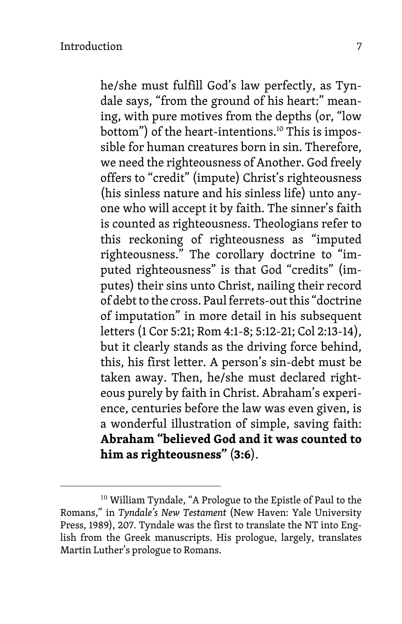he/she must fulfill God's law perfectly, as Tyndale says, "from the ground of his heart:" meaning, with pure motives from the depths (or, "low bottom") of the heart-intentions.<sup>10</sup> This is impossible for human creatures born in sin. Therefore, we need the righteousness of Another. God freely offers to "credit" (impute) Christ's righteousness (his sinless nature and his sinless life) unto anyone who will accept it by faith. The sinner's faith is counted as righteousness. Theologians refer to this reckoning of righteousness as "imputed righteousness." The corollary doctrine to "imputed righteousness" is that God "credits" (imputes) their sins unto Christ, nailing their record of debt to the cross. Paul ferrets-out this "doctrine of imputation" in more detail in his subsequent letters (1 Cor 5:21; Rom 4:1-8; 5:12-21; Col 2:13-14), but it clearly stands as the driving force behind, this, his first letter. A person's sin-debt must be taken away. Then, he/she must declared righteous purely by faith in Christ. Abraham's experience, centuries before the law was even given, is a wonderful illustration of simple, saving faith: **Abraham "believed God and it was counted to him as righteousness"** (**3:6**).

<sup>&</sup>lt;sup>10</sup> William Tyndale, "A Prologue to the Epistle of Paul to the Romans," in *Tyndale's New Testament* (New Haven: Yale University Press, 1989), 207. Tyndale was the first to translate the NT into English from the Greek manuscripts. His prologue, largely, translates Martin Luther's prologue to Romans.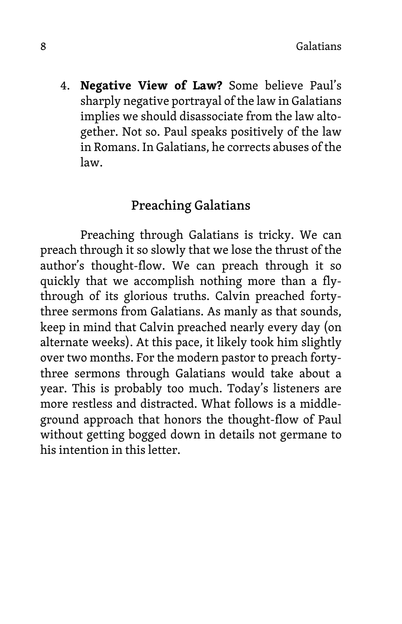4. **Negative View of Law?** Some believe Paul's sharply negative portrayal of the law in Galatians implies we should disassociate from the law altogether. Not so. Paul speaks positively of the law in Romans. In Galatians, he corrects abuses of the law.

#### Preaching Galatians

Preaching through Galatians is tricky. We can preach through it so slowly that we lose the thrust of the author's thought-flow. We can preach through it so quickly that we accomplish nothing more than a flythrough of its glorious truths. Calvin preached fortythree sermons from Galatians. As manly as that sounds, keep in mind that Calvin preached nearly every day (on alternate weeks). At this pace, it likely took him slightly over two months. For the modern pastor to preach fortythree sermons through Galatians would take about a year. This is probably too much. Today's listeners are more restless and distracted. What follows is a middleground approach that honors the thought-flow of Paul without getting bogged down in details not germane to his intention in this letter.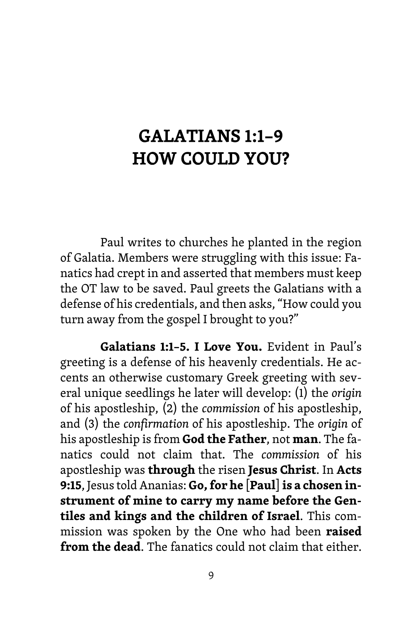## GALATIANS 1:1–9 HOW COULD YOU?

Paul writes to churches he planted in the region of Galatia. Members were struggling with this issue: Fanatics had crept in and asserted that members must keep the OT law to be saved. Paul greets the Galatians with a defense of his credentials, and then asks, "How could you turn away from the gospel I brought to you?"

**Galatians 1:1–5. I Love You.** Evident in Paul's greeting is a defense of his heavenly credentials. He accents an otherwise customary Greek greeting with several unique seedlings he later will develop: (1) the *origin*  of his apostleship, (2) the *commission* of his apostleship, and (3) the *confirmation* of his apostleship. The *origin* of his apostleship is from **God the Father**, not **man**. The fanatics could not claim that. The *commission* of his apostleship was **through** the risen **Jesus Christ**. In **Acts 9:15**, Jesus told Ananias: **Go, for he** [**Paul**]**is a chosen instrument of mine to carry my name before the Gentiles and kings and the children of Israel**. This commission was spoken by the One who had been **raised from the dead**. The fanatics could not claim that either.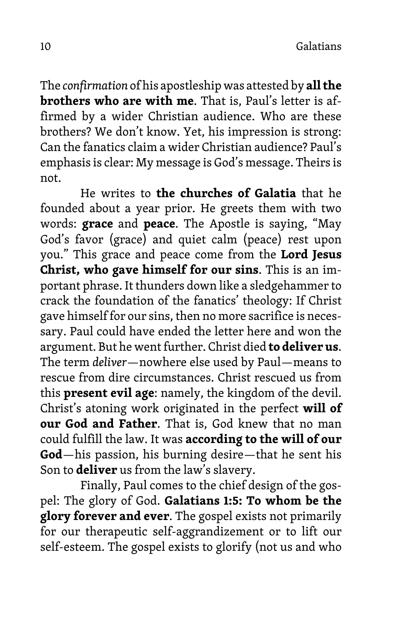The *confirmation* of his apostleship was attested by **all the brothers who are with me**. That is, Paul's letter is affirmed by a wider Christian audience. Who are these brothers? We don't know. Yet, his impression is strong: Can the fanatics claim a wider Christian audience? Paul's emphasis is clear: My message is God's message. Theirs is not.

He writes to **the churches of Galatia** that he founded about a year prior. He greets them with two words: **grace** and **peace**. The Apostle is saying, "May God's favor (grace) and quiet calm (peace) rest upon you." This grace and peace come from the **Lord Jesus Christ, who gave himself for our sins**. This is an important phrase. It thunders down like a sledgehammer to crack the foundation of the fanatics' theology: If Christ gave himself for our sins, then no more sacrifice is necessary. Paul could have ended the letter here and won the argument. But he went further. Christ died **to deliver us**. The term *deliver*—nowhere else used by Paul—means to rescue from dire circumstances. Christ rescued us from this **present evil age**: namely, the kingdom of the devil. Christ's atoning work originated in the perfect **will of our God and Father**. That is, God knew that no man could fulfill the law. It was **according to the will of our God**—his passion, his burning desire—that he sent his Son to **deliver** us from the law's slavery.

Finally, Paul comes to the chief design of the gospel: The glory of God. **Galatians 1:5: To whom be the glory forever and ever**. The gospel exists not primarily for our therapeutic self-aggrandizement or to lift our self-esteem. The gospel exists to glorify (not us and who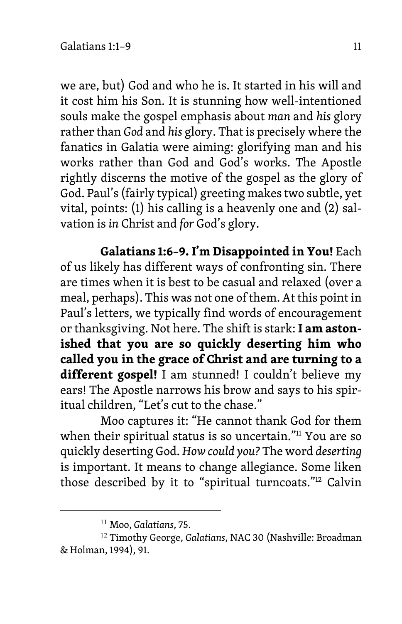we are, but) God and who he is. It started in his will and it cost him his Son. It is stunning how well-intentioned souls make the gospel emphasis about *man* and *his* glory rather than *God* and *his* glory. That is precisely where the fanatics in Galatia were aiming: glorifying man and his works rather than God and God's works. The Apostle rightly discerns the motive of the gospel as the glory of God. Paul's (fairly typical) greeting makes two subtle, yet vital, points: (1) his calling is a heavenly one and (2) salvation is *in* Christ and *for* God's glory.

**Galatians 1:6–9. I'm Disappointed in You!** Each of us likely has different ways of confronting sin. There are times when it is best to be casual and relaxed (over a meal, perhaps). This was not one of them. At this point in Paul's letters, we typically find words of encouragement or thanksgiving. Not here. The shift is stark: **I am astonished that you are so quickly deserting him who called you in the grace of Christ and are turning to a different gospel!** I am stunned! I couldn't believe my ears! The Apostle narrows his brow and says to his spiritual children, "Let's cut to the chase."

Moo captures it: "He cannot thank God for them when their spiritual status is so uncertain."<sup>11</sup> You are so quickly deserting God. *How could you?* The word *deserting* is important. It means to change allegiance. Some liken those described by it to "spiritual turncoats."<sup>12</sup> Calvin

<sup>11</sup> Moo, *Galatians*, 75.

<sup>12</sup> Timothy George, *Galatians*, NAC 30 (Nashville: Broadman & Holman, 1994), 91.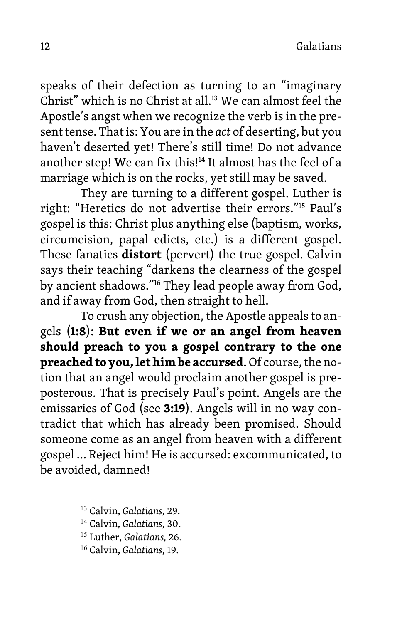12 Galatians

speaks of their defection as turning to an "imaginary Christ" which is no Christ at all.<sup>13</sup> We can almost feel the Apostle's angst when we recognize the verb is in the present tense. That is: You are in the *act* of deserting, but you haven't deserted yet! There's still time! Do not advance another step! We can fix this!<sup>14</sup> It almost has the feel of a marriage which is on the rocks, yet still may be saved.

They are turning to a different gospel. Luther is right: "Heretics do not advertise their errors."15 Paul's gospel is this: Christ plus anything else (baptism, works, circumcision, papal edicts, etc.) is a different gospel. These fanatics **distort** (pervert) the true gospel. Calvin says their teaching "darkens the clearness of the gospel by ancient shadows."16 They lead people away from God, and if away from God, then straight to hell.

To crush any objection, the Apostle appeals to angels (**1:8**): **But even if we or an angel from heaven should preach to you a gospel contrary to the one preached to you, let him be accursed**. Of course, the notion that an angel would proclaim another gospel is preposterous. That is precisely Paul's point. Angels are the emissaries of God (see **3:19**). Angels will in no way contradict that which has already been promised. Should someone come as an angel from heaven with a different gospel … Reject him! He is accursed: excommunicated, to be avoided, damned!

<sup>13</sup> Calvin, *Galatians*, 29.

<sup>14</sup> Calvin, *Galatians*, 30.

<sup>15</sup> Luther, *Galatians,* 26.

<sup>16</sup> Calvin, *Galatians*, 19.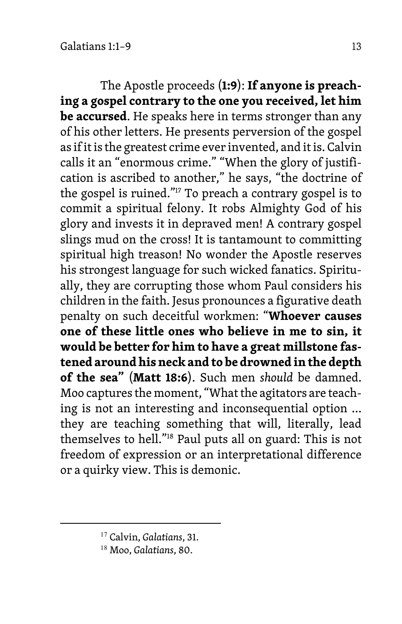The Apostle proceeds (**1:9**): **If anyone is preaching a gospel contrary to the one you received, let him be accursed**. He speaks here in terms stronger than any of his other letters. He presents perversion of the gospel as if it is the greatest crime ever invented, and it is. Calvin calls it an "enormous crime." "When the glory of justification is ascribed to another," he says, "the doctrine of the gospel is ruined."17 To preach a contrary gospel is to commit a spiritual felony. It robs Almighty God of his glory and invests it in depraved men! A contrary gospel slings mud on the cross! It is tantamount to committing spiritual high treason! No wonder the Apostle reserves his strongest language for such wicked fanatics. Spiritually, they are corrupting those whom Paul considers his children in the faith. Jesus pronounces a figurative death penalty on such deceitful workmen: "**Whoever causes one of these little ones who believe in me to sin, it would be better for him to have a great millstone fastened around his neck and to be drowned in the depth of the sea"** (**Matt 18:6**). Such men *should* be damned. Moo captures the moment, "What the agitators are teaching is not an interesting and inconsequential option … they are teaching something that will, literally, lead themselves to hell."18 Paul puts all on guard: This is not freedom of expression or an interpretational difference or a quirky view. This is demonic.

<sup>17</sup> Calvin, *Galatians*, 31.

<sup>18</sup> Moo, *Galatians*, 80.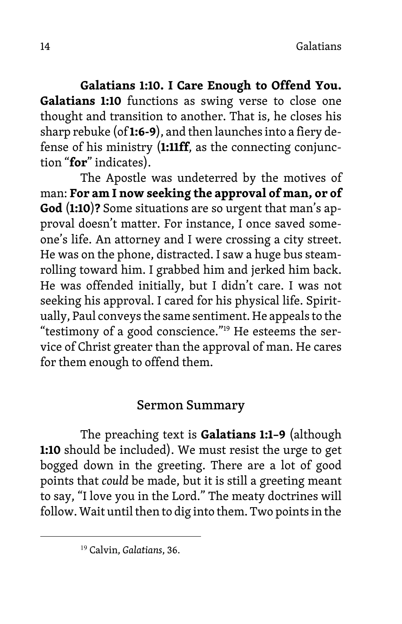**Galatians 1:10. I Care Enough to Offend You. Galatians 1:10** functions as swing verse to close one thought and transition to another. That is, he closes his sharp rebuke (of **1:6-9**), and then launches into a fiery defense of his ministry (**1:11ff**, as the connecting conjunction "**for**" indicates).

The Apostle was undeterred by the motives of man: **For am I now seeking the approval of man, or of God** (**1:10**)**?** Some situations are so urgent that man's approval doesn't matter. For instance, I once saved someone's life. An attorney and I were crossing a city street. He was on the phone, distracted. I saw a huge bus steamrolling toward him. I grabbed him and jerked him back. He was offended initially, but I didn't care. I was not seeking his approval. I cared for his physical life. Spiritually, Paul conveys the same sentiment. He appeals to the "testimony of a good conscience."19 He esteems the service of Christ greater than the approval of man. He cares for them enough to offend them.

#### Sermon Summary

The preaching text is **Galatians 1:1–9** (although **1:10** should be included). We must resist the urge to get bogged down in the greeting. There are a lot of good points that *could* be made, but it is still a greeting meant to say, "I love you in the Lord." The meaty doctrines will follow. Wait until then to dig into them. Two points in the

<sup>19</sup> Calvin, *Galatians*, 36.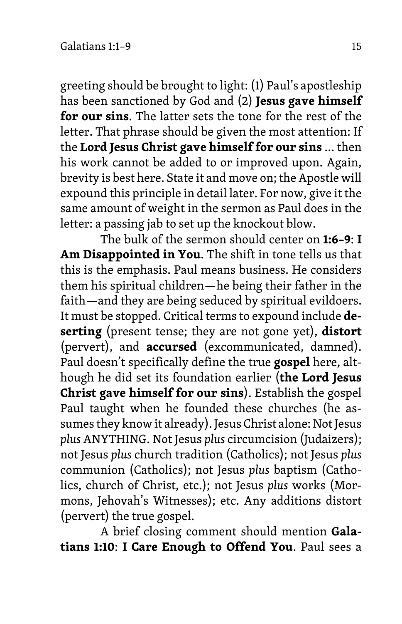greeting should be brought to light: (1) Paul's apostleship has been sanctioned by God and (2) **Jesus gave himself for our sins**. The latter sets the tone for the rest of the letter. That phrase should be given the most attention: If the **Lord Jesus Christ gave himself for our sins** … then his work cannot be added to or improved upon. Again, brevity is best here. State it and move on; the Apostle will expound this principle in detail later. For now, give it the same amount of weight in the sermon as Paul does in the letter: a passing jab to set up the knockout blow.

The bulk of the sermon should center on **1:6–9**: **I Am Disappointed in You**. The shift in tone tells us that this is the emphasis. Paul means business. He considers them his spiritual children—he being their father in the faith—and they are being seduced by spiritual evildoers. It must be stopped. Critical terms to expound include **deserting** (present tense; they are not gone yet), **distort** (pervert), and **accursed** (excommunicated, damned). Paul doesn't specifically define the true **gospel** here, although he did set its foundation earlier (**the Lord Jesus Christ gave himself for our sins**). Establish the gospel Paul taught when he founded these churches (he assumes they know it already). Jesus Christ alone: Not Jesus *plus* ANYTHING. Not Jesus *plus* circumcision (Judaizers); not Jesus *plus* church tradition (Catholics); not Jesus *plus* communion (Catholics); not Jesus *plus* baptism (Catholics, church of Christ, etc.); not Jesus *plus* works (Mormons, Jehovah's Witnesses); etc. Any additions distort (pervert) the true gospel.

A brief closing comment should mention **Galatians 1:10**: **I Care Enough to Offend You**. Paul sees a